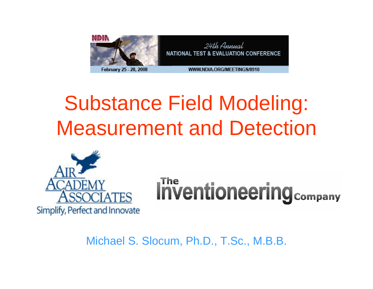

## Substance Field Modeling: Measurement and Detection



# **Inventioneering Company**

Michael S. Slocum, Ph.D., T.Sc., M.B.B.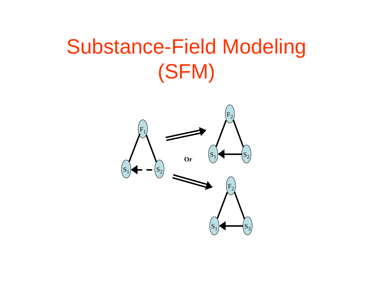## Substance-Field Modeling (SFM)

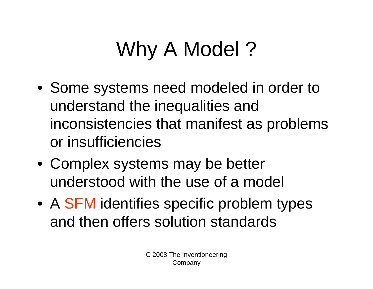# Why A Model?

- Some systems need modeled in order to understand the inequalities and inconsistencies that manifest as problems or insufficiencies
- Complex systems may be better understood with the use of a model
- A SFM identifies specific problem types and then offers solution standards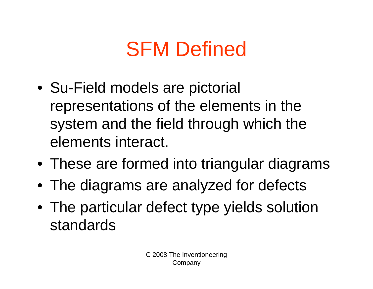## SFM Defined

- Su-Field models are pictorial representations of the elements in the system and the field through which the elements interact.
- These are formed into triangular diagrams
- The diagrams are analyzed for defects
- The particular defect type yields solution standards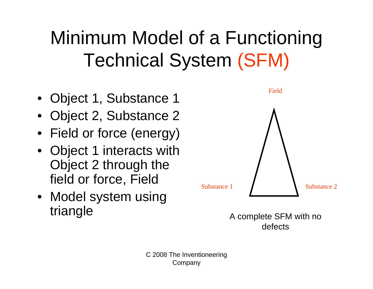## Minimum Model of a Functioning Technical System (SFM)

- Object 1, Substance 1
- Object 2, Substance 2
- Field or force (energy)
- Object 1 interacts with Object 2 through the field or force, Field
- Model system using triangle

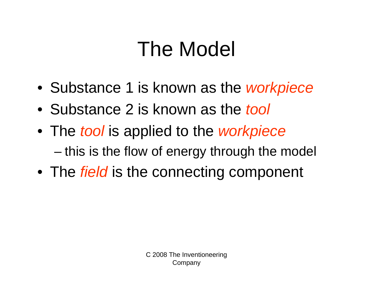## The Model

- Substance 1 is known as the *workpiece*
- Substance 2 is known as the *tool*
- The *tool* is applied to the *workpiece* and the state of the state this is the flow of energy through the model
- The *field* is the connecting component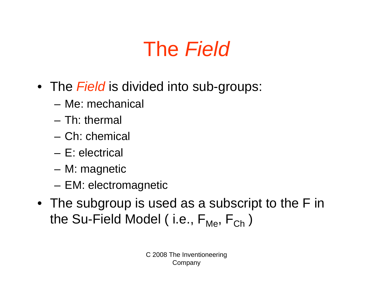## The *Field*

- The *Field* is divided into sub-groups:
	- Me: mechanical
	- Th: thermal
	- Ch: chemical
	- E: electrical
	- **Links of the Common** M: magnetic
	- **Links of the Common** EM: electromagnetic
- The subgroup is used as a subscript to the F in the Su-Field Model ( i.e., F<sub>Me</sub>, F<sub>Ch</sub> )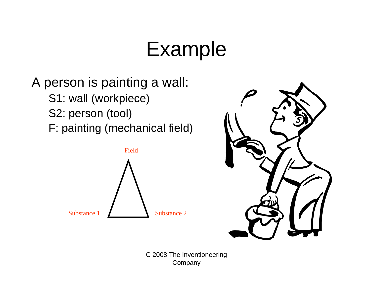## Example

### A person is painting a wall: S1: wall (workpiece) S2: person (tool) F: painting (mechanical field)



Company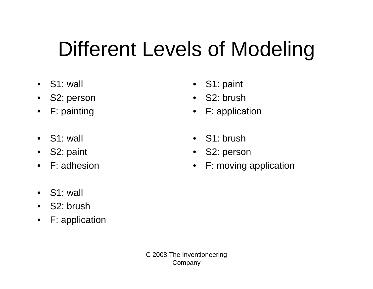## Different Levels of Modeling

- S1: wall
- •S2: person
- $\bullet$ F: painting
- S1: wall
- $\bullet$ S2: paint
- F: adhesion
- •S1: paint
- •S2: brush
- •F: application
- •S1: brush
- •S2: person
- $\bullet$ F: moving application

- $\bullet$ S1: wall
- •S2: brush
- $\bullet$ F: application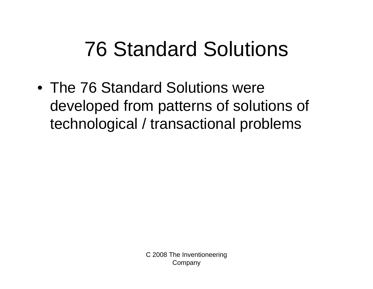## 76 Standard Solutions

• The 76 Standard Solutions were developed from patterns of solutions of technological / transactional problems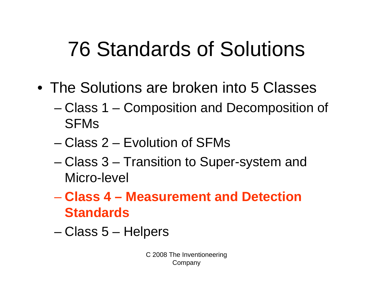## 76 Standards of Solutions

- The Solutions are broken into 5 Classes
	- – Class 1 – Composition and Decomposition of SFMs
	- Class 2 Evolution of SFMs
	- – Class 3 – Transition to Super-system and Micro-level
	- **Class 4 – Measurement and Detection Standards**
	- and the state of Class 5 – Helpers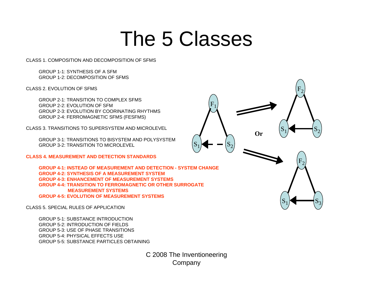### The 5 Classes

 $\mathrm{F}_1$ 

 $\mathrm{F}_2$ 

 $_1$   $\longrightarrow$   $S_2$ 

 $\mathrm{F}_2$ 

 $_1$  S<sub>3</sub>

 ${\rm S}_1$ 

**Or**

 ${\rm S}_1$ 

 $_{1}$  –  $\left| S_{2} \right|$ 

 ${\rm S}_1$ 

CLASS 1. COMPOSITION AND DECOMPOSITION OF SFMS

GROUP 1-1: SYNTHESIS OF A SFMGROUP 1-2: DECOMPOSITION OF SFMS

CLASS 2. EVOLUTION OF SEMS

GROUP 2-1: TRANSITION TO COMPLEX SFMSGROUP 2-2: EVOLUTION OF SFMGROUP 2-3: EVOLUTION BY COORINATING RHYTHMSGROUP 2-4: FERROMAGNETIC SFMS (FESFMS)

CLASS 3. TRANSITIONS TO SUPERSYSTEM AND MICROLEVEL

GROUP 3-1: TRANSITIONS TO BISYSTEM AND POLYSYSTEMGROUP 3-2: TRANSITION TO MICROLEVEL

**CLASS 4. MEASUREMENT AND DETECTION STANDARDS**

**GROUP 4-1: INSTEAD OF MEASUREMENT AND DETECTION - SYSTEM CHANGEGROUP 4-2: SYNTHESIS OF A MEASUREMENT SYSTEMGROUP 4-3: ENHANCEMENT OF MEASUREMENT SYSTEMSGROUP 4-4: TRANSITION TO FERROMAGNETIC OR OTHER SURROGATE MEASUREMENT SYSTEMSGROUP 4-5: EVOLUTION OF MEASUREMENT SYSTEMS**

CLASS 5. SPECIAL RULES OF APPLICATION

GROUP 5-1: SUBSTANCE INTRODUCTIONGROUP 5-2: INTRODUCTION OF FIELDSGROUP 5-3: USE OF PHASE TRANSITIONSGROUP 5-4: PHYSICAL EFFECTS USEGROUP 5-5: SUBSTANCE PARTICLES OBTAINING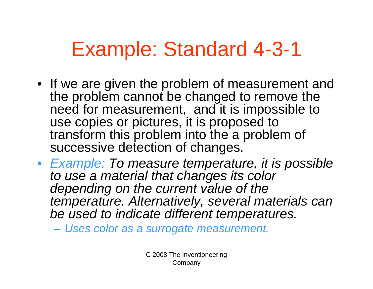## Example: Standard 4-3-1

- If we are given the problem of measurement and the problem cannot be changed to remove the need for measurement, and it is impossible to use copies or pictures, it is proposed to transform this problem into the a problem of successive detection of changes.
- *Example: To measure temperature, it is possible to use a material that changes its color depending on the current value of the temperature. Alternatively, several materials can be used to indicate different temperatures.*

*Uses color as a surrogate measurement.*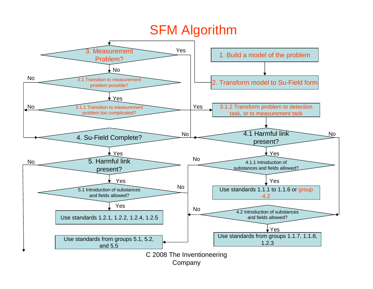#### SFM Algorithm

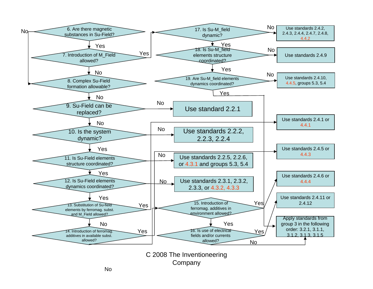

Company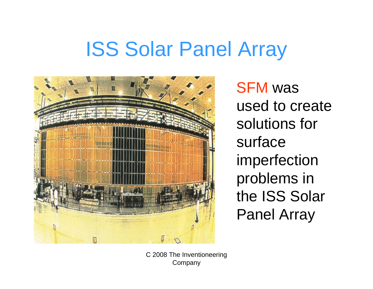## ISS Solar Panel Array



SFM was used to create solutions for surface imperfection problems in the ISS Solar Panel Array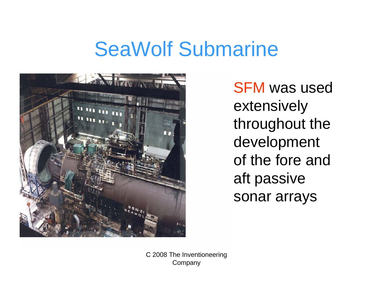### SeaWolf Submarine



SFM was used extensively throughout the development of the fore and aft passive sonar arrays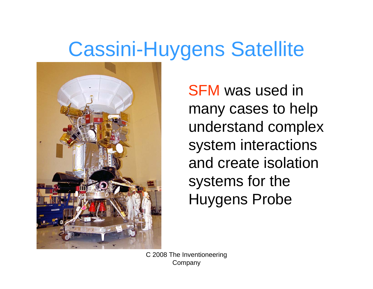## Cassini-Huygens Satellite



SFM was used in many cases to help understand complex system interactions and create isolation systems for the Huygens Probe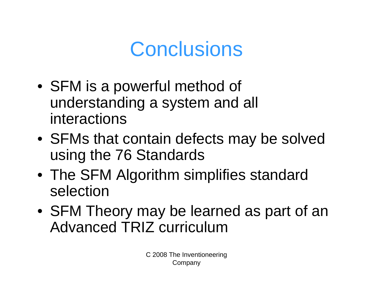## **Conclusions**

- SFM is a powerful method of understanding a system and all interactions
- SFMs that contain defects may be solved using the 76 Standards
- The SFM Algorithm simplifies standard selection
- SFM Theory may be learned as part of an Advanced TRIZ curriculum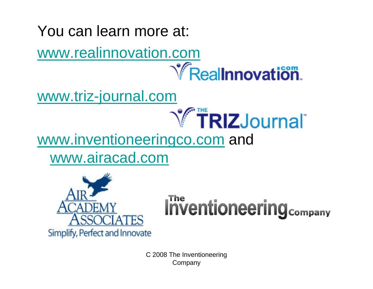### You can learn more at: [www.realinnovation.com](http://www.realinnovation.com/)**Y** Reallnnovation [www.triz-journal.com](http://www.triz-journal.com/)

### [www.inventioneeringco.com](http://www.inventioneeringco.com/) and [www.airacad.com](http://www.airacad.com/)



# **Inventioneering Company**

**TRIZJournal**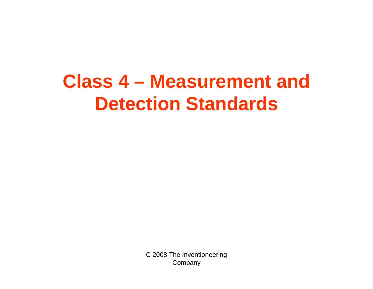### **Class 4 – Measurement and Detection Standards**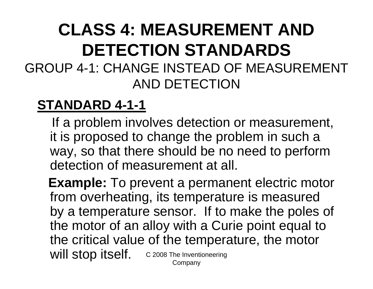### **CLASS 4: MEASUREMENT AND DETECTION STANDARDS**GROUP 4-1: CHANGE INSTEAD OF MEASUREMENT AND DETECTION

### **STANDARD 4-1-1**

If a problem involves detection or measurement, it is proposed to change the problem in such a way, so that there should be no need to perform detection of measurement at all.

C 2008 The Inventioneering **Company Example:** To prevent a permanent electric motor from overheating, its temperature is measured by a temperature sensor. If to make the poles of the motor of an alloy with a Curie point equal to the critical value of the temperature, the motor will stop itself.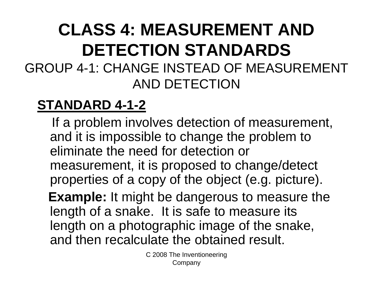### **CLASS 4: MEASUREMENT AND DETECTION STANDARDS**GROUP 4-1: CHANGE INSTEAD OF MEASUREMENT AND DETECTION

### **STANDARD 4-1-2**

If a problem involves detection of measurement, and it is impossible to change the problem to eliminate the need for detection or measurement, it is proposed to change/detect properties of a copy of the object (e.g. picture).

**Example:** It might be dangerous to measure the length of a snake. It is safe to measure its length on a photographic image of the snake, and then recalculate the obtained result.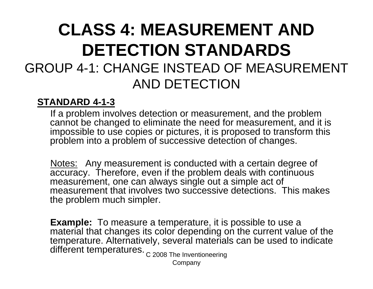### **CLASS 4: MEASUREMENT AND DETECTION STANDARDS**GROUP 4-1: CHANGE INSTEAD OF MEASUREMENT AND DETECTION

#### **STANDARD 4-1-3**

If a problem involves detection or measurement, and the problem cannot be changed to eliminate the need for measurement, and it is impossible to use copies or pictures, it is proposed to transform this problem into a problem of successive detection of changes.

<u>Notes:</u> Any measurement is conducted with a certain degree of accuracy. Therefore, even if the problem deals with continuous measurement, one can always single out a simple act of measurement that involves two successive detections. This makes the problem much simpler.

**Example:** To measure a temperature, it is possible to use a material that changes its color depending on the current value of the temperature. Alternatively, several materials can be used to indicate different temperatures.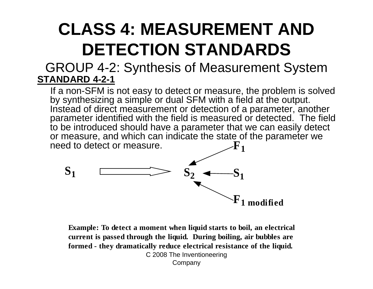#### GROUP 4-2: Synthesis of Measurement System **STANDARD 4-2-1**

If a non-SFM is not easy to detect or measure, the problem is solved by synthesizing a simple or dual SFM with a field at the output. Instead of direct measurement or detection of a parameter, another parameter identified with the field is measured or detected. The field to be introduced should have a parameter that we can easily detect or measure, and which can indicate the state of the parameter we need to detect or measure. **F1**



C 2008 The Inventioneering Company **Example: To detect a moment when liquid starts to boil, an electrical current is passed through the liquid. During boiling, air bubbles are formed - they dramatically reduce electrical resistance of the liquid.**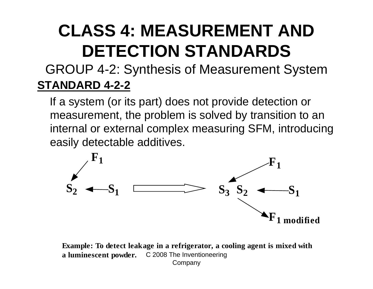#### GROUP 4-2: Synthesis of Measurement System **STANDARD 4-2-2**

If a system (or its part) does not provide detection or measurement, the problem is solved by transition to an internal or external complex measuring SFM, introducing easily detectable additives.



a luminescent powder. C 2008 The Inventioneering Company **Example: To detect leakage in a refrigerator, a cooling agent is mixed with**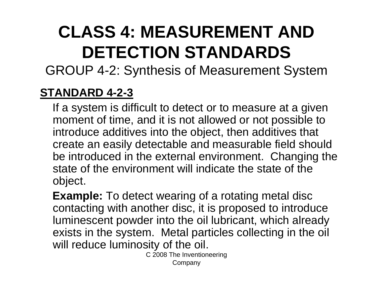GROUP 4-2: Synthesis of Measurement System

#### **STANDARD 4-2-3**

If a system is difficult to detect or to measure at a given moment of time, and it is not allowed or not possible to introduce additives into the object, then additives that create an easily detectable and measurable field should be introduced in the external environment. Changing the state of the environment will indicate the state of the object.

**Example:** To detect wearing of a rotating metal disc contacting with another disc, it is proposed to introduce luminescent powder into the oil lubricant, which already exists in the system. Metal particles collecting in the oil will reduce luminosity of the oil.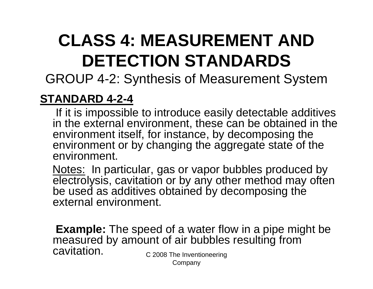GROUP 4-2: Synthesis of Measurement System

#### **STANDARD 4-2-4**

If it is impossible to introduce easily detectable additives in the external environment, these can be obtained in the environment itself, for instance, by decomposing the environment or by changing the aggregate state of the environment.

Notes: In particular, gas or vapor bubbles produced by electrolysis, cavitation or by any other method may often be used as additives obtained by decomposing the external environment.

C 2008 The Inventioneering **Example:** The speed of a water flow in a pipe might be measured by amount of air bubbles resulting from cavitation.

Company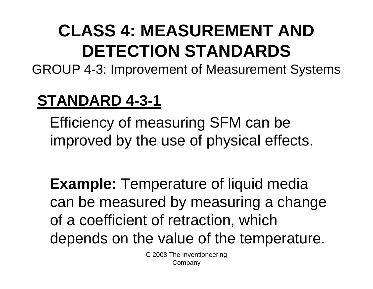GROUP 4-3: Improvement of Measurement Systems

### **STANDARD 4-3-1**

Efficiency of measuring SFM can be improved by the use of physical effects.

**Example:** Temperature of liquid media can be measured by measuring a change of a coefficient of retraction, which depends on the value of the temperature.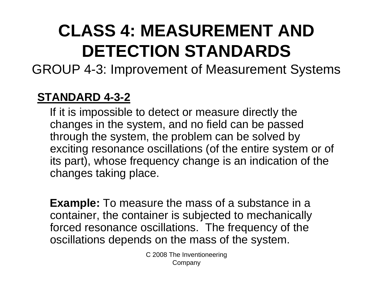GROUP 4-3: Improvement of Measurement Systems

#### **STANDARD 4-3-2**

If it is impossible to detect or measure directly the changes in the system, and no field can be passed through the system, the problem can be solved by exciting resonance oscillations (of the entire system or of its part), whose frequency change is an indication of the changes taking place.

**Example:** To measure the mass of a substance in a container, the container is subjected to mechanically forced resonance oscillations. The frequency of the oscillations depends on the mass of the system.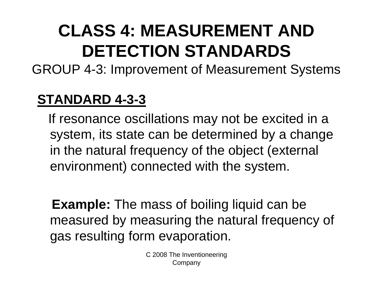GROUP 4-3: Improvement of Measurement Systems

### **STANDARD 4-3-3**

If resonance oscillations may not be excited in a system, its state can be determined by a change in the natural frequency of the object (external environment) connected with the system.

**Example:** The mass of boiling liquid can be measured by measuring the natural frequency of gas resulting form evaporation.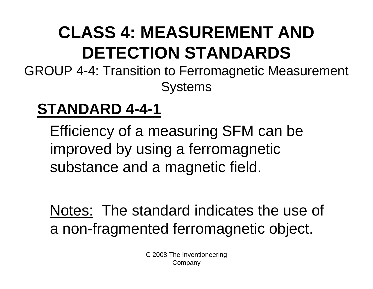GROUP 4-4: Transition to Ferromagnetic Measurement **Systems** 

### **STANDARD 4-4-1**

Efficiency of a measuring SFM can be improved by using a ferromagnetic substance and a magnetic field.

Notes: The standard indicates the use of a non-fragmented ferromagnetic object.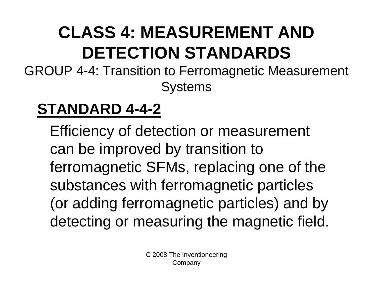GROUP 4-4: Transition to Ferromagnetic Measurement **Systems** 

### **STANDARD 4-4-2**

Efficiency of detection or measurement can be improved by transition to ferromagnetic SFMs, replacing one of the substances with ferromagnetic particles (or adding ferromagnetic particles) and by detecting or measuring the magnetic field.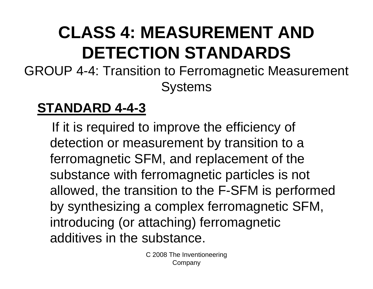GROUP 4-4: Transition to Ferromagnetic Measurement **Systems** 

#### **STANDARD 4-4-3**

If it is required to improve the efficiency of detection or measurement by transition to a ferromagnetic SFM, and replacement of the substance with ferromagnetic particles is not allowed, the transition to the F-SFM is performed by synthesizing a complex ferromagnetic SFM, introducing (or attaching) ferromagnetic additives in the substance.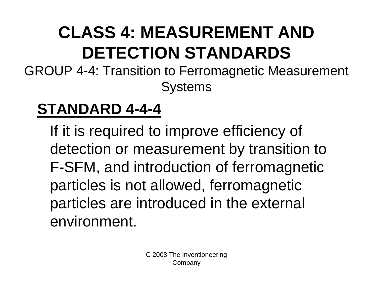GROUP 4-4: Transition to Ferromagnetic Measurement **Systems** 

### **STANDARD 4-4-4**

If it is required to improve efficiency of detection or measurement by transition to F-SFM, and introduction of ferromagnetic particles is not allowed, ferromagnetic particles are introduced in the external environment.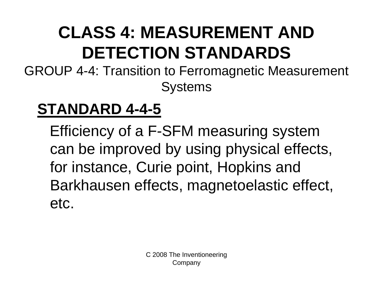GROUP 4-4: Transition to Ferromagnetic Measurement **Systems** 

### **STANDARD 4-4-5**

Efficiency of a F-SFM measuring system can be improved by using physical effects, for instance, Curie point, Hopkins and Barkhausen effects, magnetoelastic effect, etc.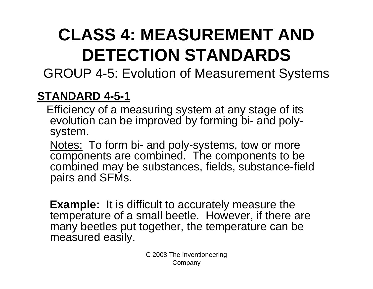GROUP 4-5: Evolution of Measurement Systems

#### **STANDARD 4-5-1**

Efficiency of a measuring system at any stage of its evolution can be improved by forming bi- and polysystem.

Notes: To form bi- and poly-systems, tow or more components are combined. The components to be combined may be substances, fields, substance-field pairs and SFMs.

**Example:** It is difficult to accurately measure the temperature of a small beetle. However, if there are many beetles put together, the temperature can be measured easily.